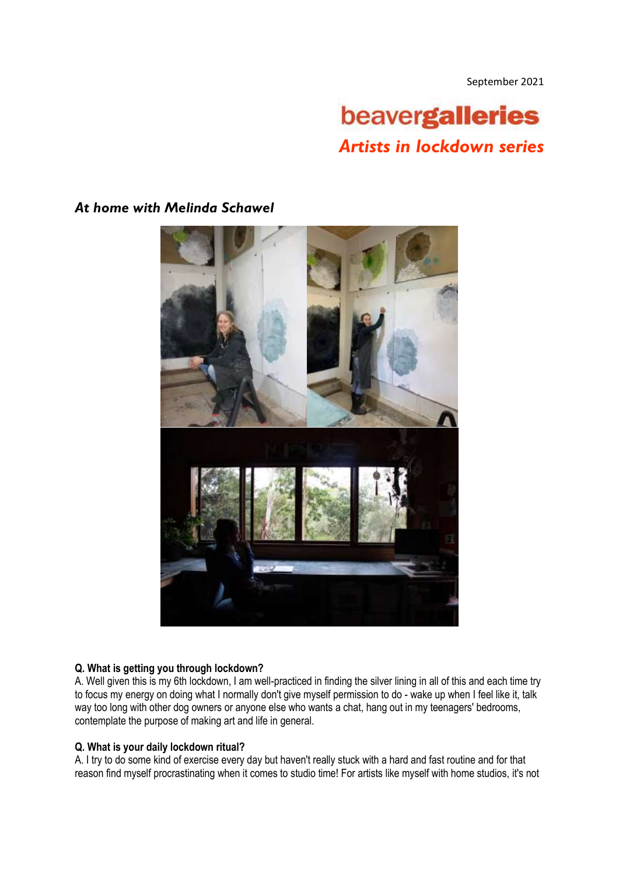September 2021

# beavergalleries *Artists in lockdown series*



## *At home with Melinda Schawel*

### **Q. What is getting you through lockdown?**

A. Well given this is my 6th lockdown, I am well-practiced in finding the silver lining in all of this and each time try to focus my energy on doing what I normally don't give myself permission to do - wake up when I feel like it, talk way too long with other dog owners or anyone else who wants a chat, hang out in my teenagers' bedrooms, contemplate the purpose of making art and life in general.

#### **Q. What is your daily lockdown ritual?**

A. I try to do some kind of exercise every day but haven't really stuck with a hard and fast routine and for that reason find myself procrastinating when it comes to studio time! For artists like myself with home studios, it's not